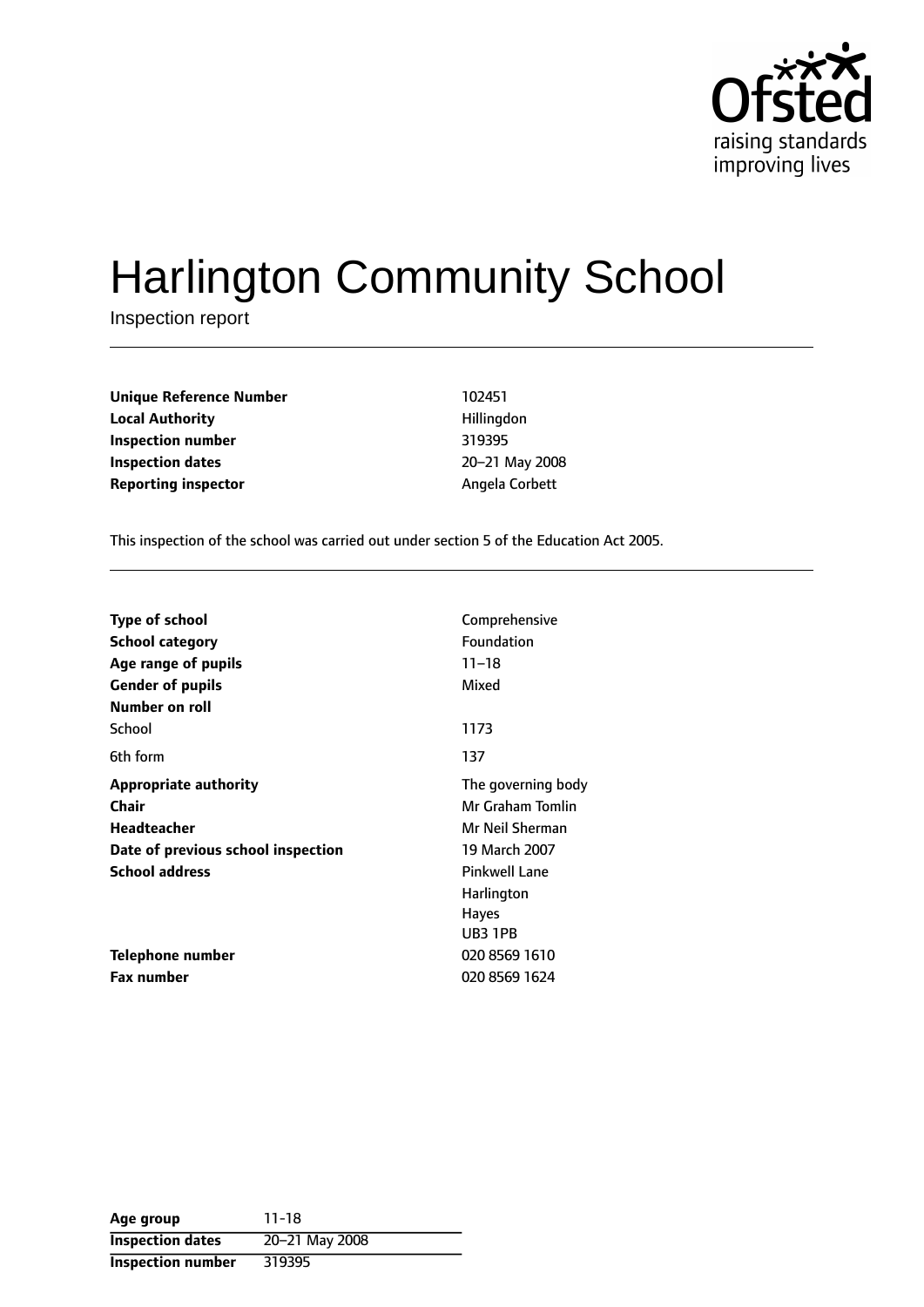

# Harlington Community School

Inspection report

**Unique Reference Number** 102451 **Local Authority Hillingdon Inspection number** 319395 **Inspection dates** 20-21 May 2008 **Reporting inspector Angela Corbett** 

This inspection of the school was carried out under section 5 of the Education Act 2005.

| <b>Type of school</b>              | Comprehensive        |
|------------------------------------|----------------------|
| School category                    | Foundation           |
| Age range of pupils                | $11 - 18$            |
| <b>Gender of pupils</b>            | Mixed                |
| Number on roll                     |                      |
| School                             | 1173                 |
| 6th form                           | 137                  |
| <b>Appropriate authority</b>       | The governing body   |
| Chair                              | Mr Graham Tomlin     |
| Headteacher                        | Mr Neil Sherman      |
| Date of previous school inspection | 19 March 2007        |
| <b>School address</b>              | <b>Pinkwell Lane</b> |
|                                    | Harlington           |
|                                    | <b>Hayes</b>         |
|                                    | UB3 1PB              |
| Telephone number                   | 020 8569 1610        |
| Fax number                         | 020 8569 1624        |

| Age group                | $11 - 18$      |
|--------------------------|----------------|
| <b>Inspection dates</b>  | 20-21 May 2008 |
| <b>Inspection number</b> | 319395         |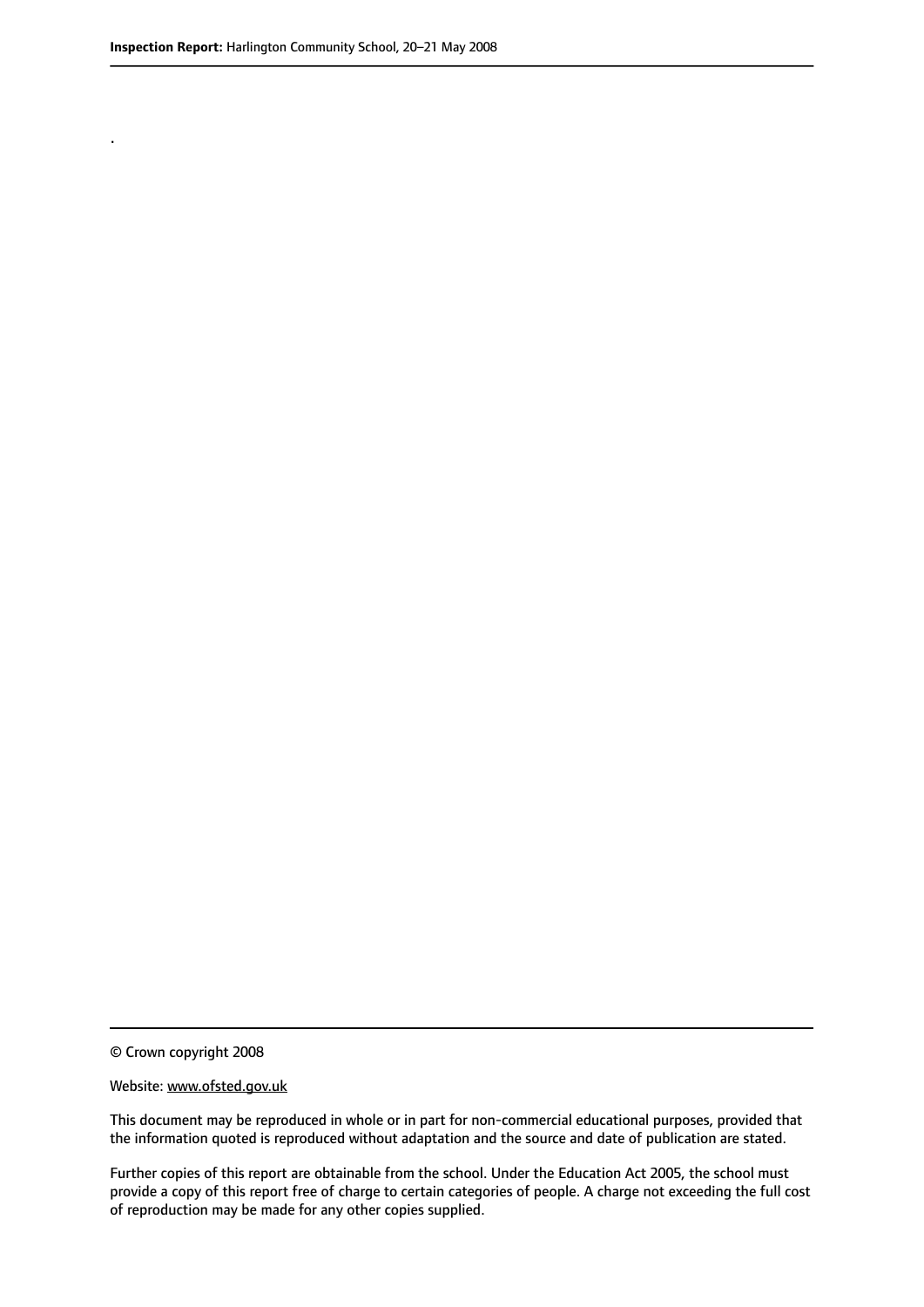.

© Crown copyright 2008

#### Website: www.ofsted.gov.uk

This document may be reproduced in whole or in part for non-commercial educational purposes, provided that the information quoted is reproduced without adaptation and the source and date of publication are stated.

Further copies of this report are obtainable from the school. Under the Education Act 2005, the school must provide a copy of this report free of charge to certain categories of people. A charge not exceeding the full cost of reproduction may be made for any other copies supplied.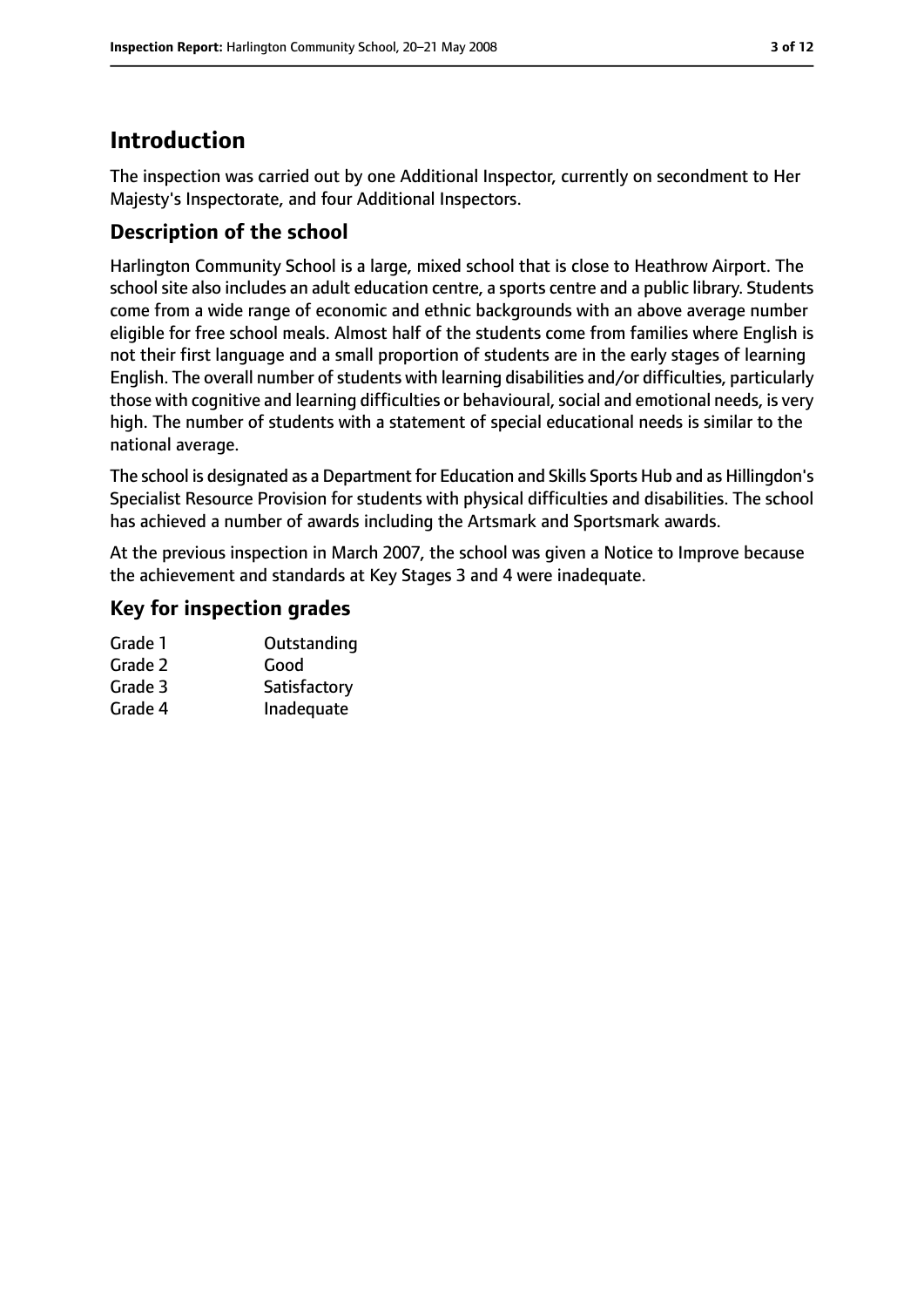# **Introduction**

The inspection was carried out by one Additional Inspector, currently on secondment to Her Majesty's Inspectorate, and four Additional Inspectors.

# **Description of the school**

Harlington Community School is a large, mixed school that is close to Heathrow Airport. The school site also includes an adult education centre, a sports centre and a public library. Students come from a wide range of economic and ethnic backgrounds with an above average number eligible for free school meals. Almost half of the students come from families where English is not their first language and a small proportion of students are in the early stages of learning English. The overall number of students with learning disabilities and/or difficulties, particularly those with cognitive and learning difficulties or behavioural, social and emotional needs, is very high. The number of students with a statement of special educational needs is similar to the national average.

The school is designated as a Department for Education and Skills Sports Hub and as Hillingdon's Specialist Resource Provision for students with physical difficulties and disabilities. The school has achieved a number of awards including the Artsmark and Sportsmark awards.

At the previous inspection in March 2007, the school was given a Notice to Improve because the achievement and standards at Key Stages 3 and 4 were inadequate.

## **Key for inspection grades**

| Grade 1 | Outstanding  |
|---------|--------------|
| Grade 2 | Good         |
| Grade 3 | Satisfactory |
| Grade 4 | Inadequate   |
|         |              |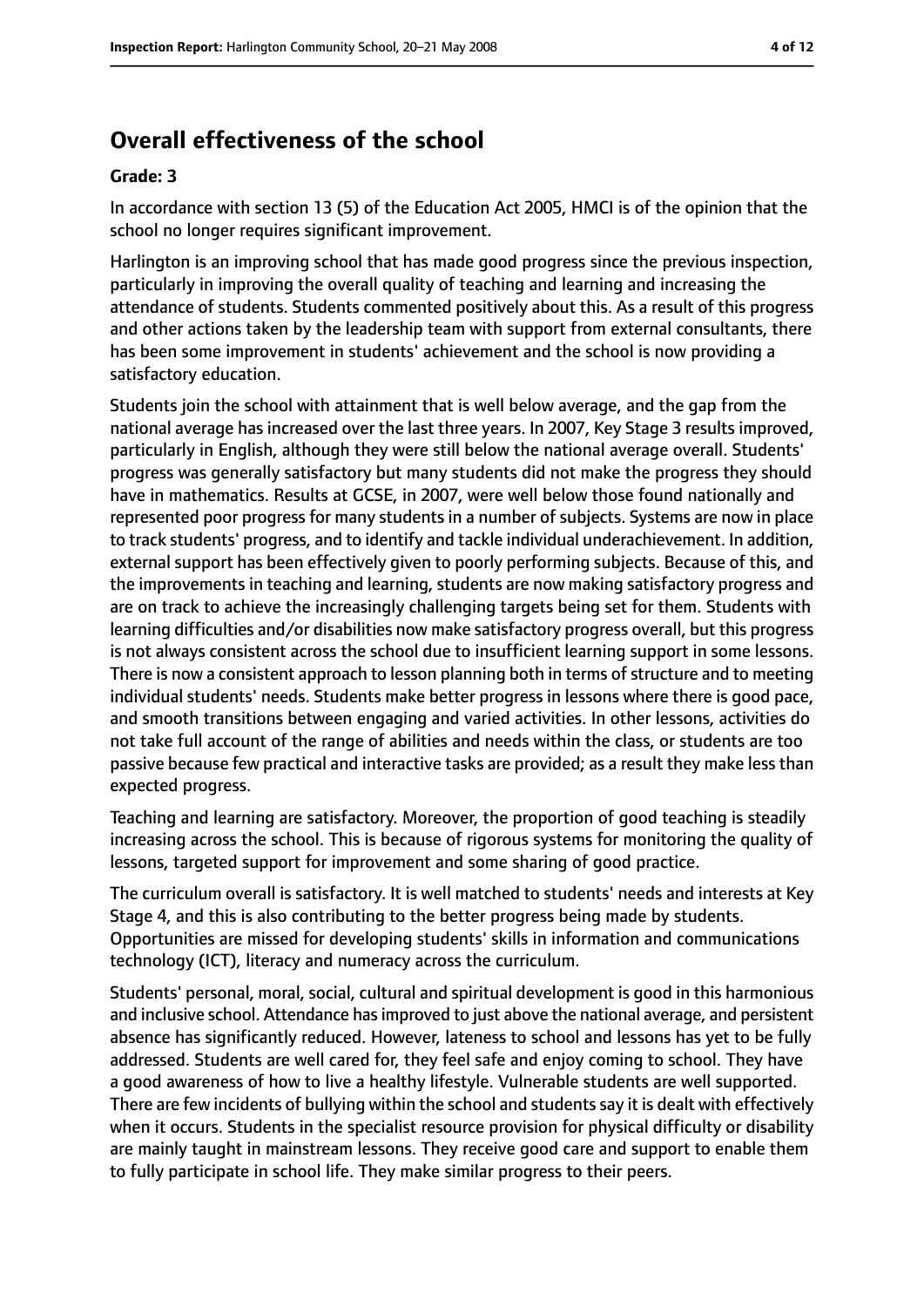# **Overall effectiveness of the school**

#### **Grade: 3**

In accordance with section 13 (5) of the Education Act 2005, HMCI is of the opinion that the school no longer requires significant improvement.

Harlington is an improving school that has made good progress since the previous inspection, particularly in improving the overall quality of teaching and learning and increasing the attendance of students. Students commented positively about this. As a result of this progress and other actions taken by the leadership team with support from external consultants, there has been some improvement in students' achievement and the school is now providing a satisfactory education.

Students join the school with attainment that is well below average, and the gap from the national average has increased over the last three years. In 2007, Key Stage 3 results improved, particularly in English, although they were still below the national average overall. Students' progress was generally satisfactory but many students did not make the progress they should have in mathematics. Results at GCSE, in 2007, were well below those found nationally and represented poor progress for many students in a number of subjects. Systems are now in place to track students' progress, and to identify and tackle individual underachievement. In addition, external support has been effectively given to poorly performing subjects. Because of this, and the improvements in teaching and learning, students are now making satisfactory progress and are on track to achieve the increasingly challenging targets being set for them. Students with learning difficulties and/or disabilities now make satisfactory progress overall, but this progress is not always consistent across the school due to insufficient learning support in some lessons. There is now a consistent approach to lesson planning both in terms of structure and to meeting individual students' needs. Students make better progress in lessons where there is good pace, and smooth transitions between engaging and varied activities. In other lessons, activities do not take full account of the range of abilities and needs within the class, or students are too passive because few practical and interactive tasks are provided; as a result they make less than expected progress.

Teaching and learning are satisfactory. Moreover, the proportion of good teaching is steadily increasing across the school. This is because of rigorous systems for monitoring the quality of lessons, targeted support for improvement and some sharing of good practice.

The curriculum overall is satisfactory. It is well matched to students' needs and interests at Key Stage 4, and this is also contributing to the better progress being made by students. Opportunities are missed for developing students' skills in information and communications technology (ICT), literacy and numeracy across the curriculum.

Students' personal, moral, social, cultural and spiritual development is good in this harmonious and inclusive school. Attendance hasimproved to just above the national average, and persistent absence has significantly reduced. However, lateness to school and lessons has yet to be fully addressed. Students are well cared for, they feel safe and enjoy coming to school. They have a good awareness of how to live a healthy lifestyle. Vulnerable students are well supported. There are few incidents of bullying within the school and students say it is dealt with effectively when it occurs. Students in the specialist resource provision for physical difficulty or disability are mainly taught in mainstream lessons. They receive good care and support to enable them to fully participate in school life. They make similar progress to their peers.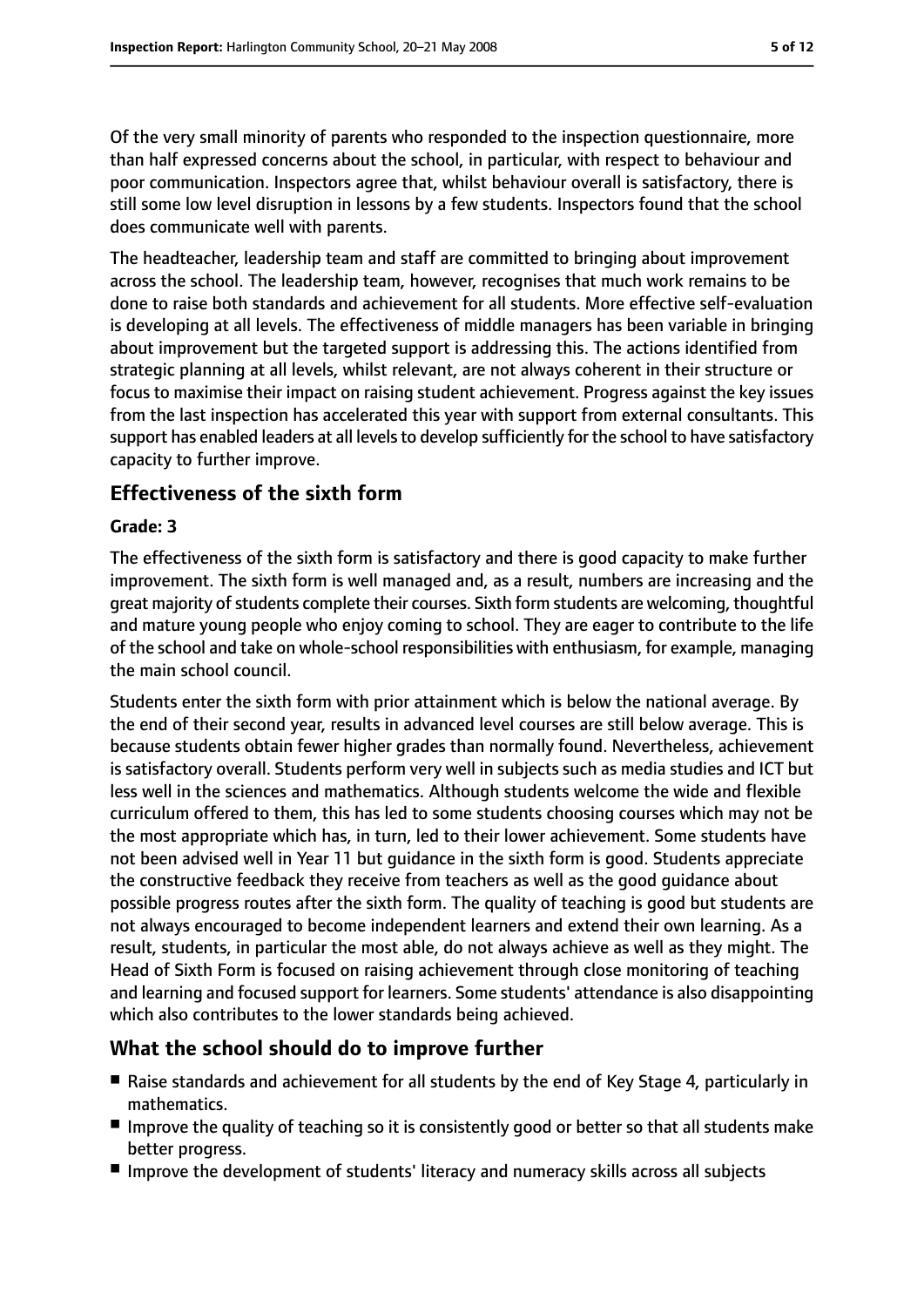Of the very small minority of parents who responded to the inspection questionnaire, more than half expressed concerns about the school, in particular, with respect to behaviour and poor communication. Inspectors agree that, whilst behaviour overall is satisfactory, there is still some low level disruption in lessons by a few students. Inspectors found that the school does communicate well with parents.

The headteacher, leadership team and staff are committed to bringing about improvement across the school. The leadership team, however, recognises that much work remains to be done to raise both standards and achievement for all students. More effective self-evaluation is developing at all levels. The effectiveness of middle managers has been variable in bringing about improvement but the targeted support is addressing this. The actions identified from strategic planning at all levels, whilst relevant, are not always coherent in their structure or focus to maximise their impact on raising student achievement. Progress against the key issues from the last inspection has accelerated this year with support from external consultants. This support has enabled leaders at all levels to develop sufficiently for the school to have satisfactory capacity to further improve.

## **Effectiveness of the sixth form**

#### **Grade: 3**

The effectiveness of the sixth form is satisfactory and there is good capacity to make further improvement. The sixth form is well managed and, as a result, numbers are increasing and the great majority of students complete their courses. Sixth form students are welcoming, thoughtful and mature young people who enjoy coming to school. They are eager to contribute to the life of the school and take on whole-school responsibilities with enthusiasm, for example, managing the main school council.

Students enter the sixth form with prior attainment which is below the national average. By the end of their second year, results in advanced level courses are still below average. This is because students obtain fewer higher grades than normally found. Nevertheless, achievement is satisfactory overall. Students perform very well in subjects such as media studies and ICT but less well in the sciences and mathematics. Although students welcome the wide and flexible curriculum offered to them, this has led to some students choosing courses which may not be the most appropriate which has, in turn, led to their lower achievement. Some students have not been advised well in Year 11 but guidance in the sixth form is good. Students appreciate the constructive feedback they receive from teachers as well as the good guidance about possible progress routes after the sixth form. The quality of teaching is good but students are not always encouraged to become independent learners and extend their own learning. As a result, students, in particular the most able, do not always achieve as well as they might. The Head of Sixth Form is focused on raising achievement through close monitoring of teaching and learning and focused support for learners. Some students' attendance is also disappointing which also contributes to the lower standards being achieved.

#### **What the school should do to improve further**

- Raise standards and achievement for all students by the end of Key Stage 4, particularly in mathematics.
- Improve the quality of teaching so it is consistently good or better so that all students make better progress.
- Improve the development of students' literacy and numeracy skills across all subjects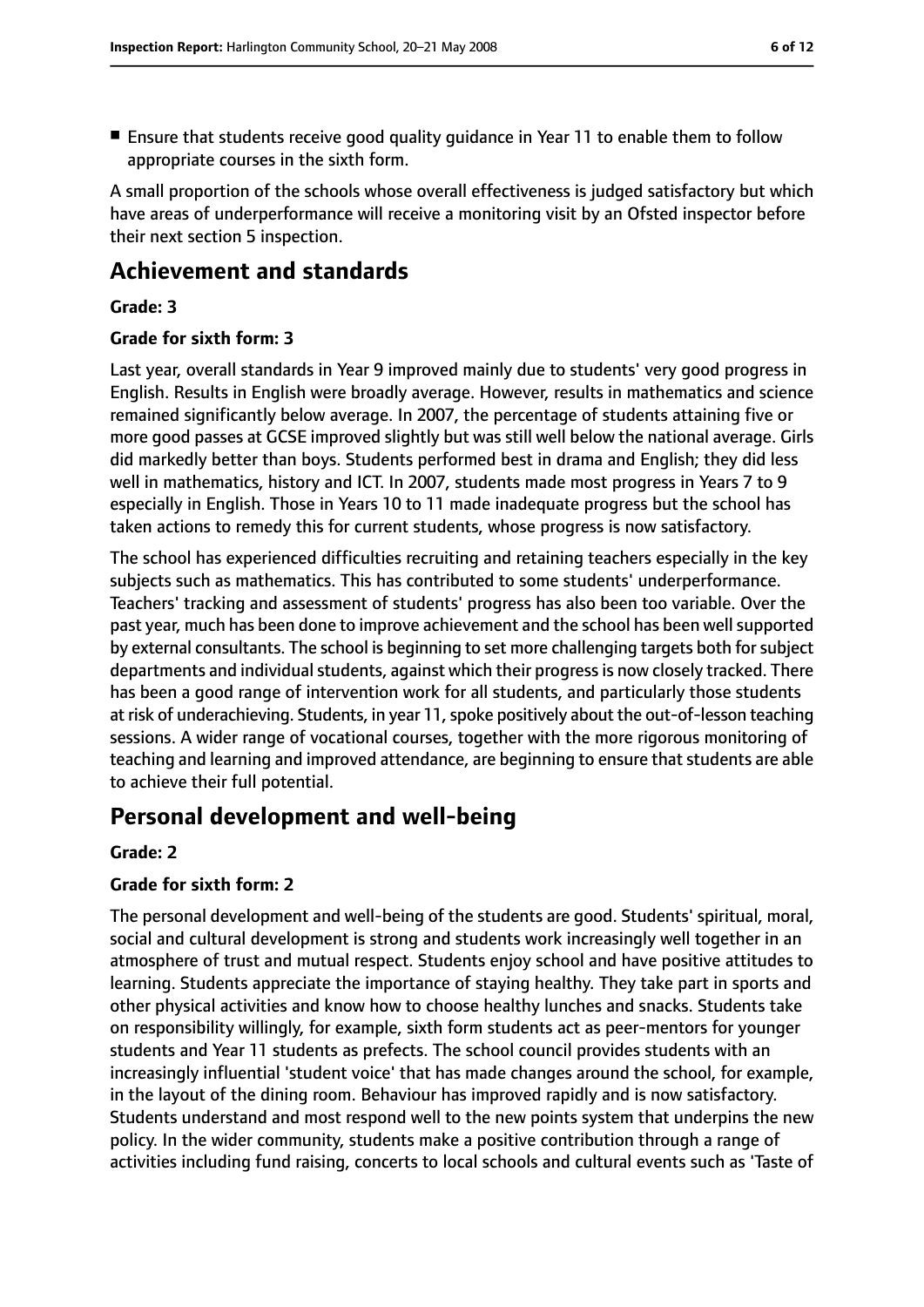- 
- Ensure that students receive good quality quidance in Year 11 to enable them to follow appropriate courses in the sixth form.

A small proportion of the schools whose overall effectiveness is judged satisfactory but which have areas of underperformance will receive a monitoring visit by an Ofsted inspector before their next section 5 inspection.

# **Achievement and standards**

#### **Grade: 3**

#### **Grade for sixth form: 3**

Last year, overall standards in Year 9 improved mainly due to students' very good progress in English. Results in English were broadly average. However, results in mathematics and science remained significantly below average. In 2007, the percentage of students attaining five or more good passes at GCSE improved slightly but was still well below the national average. Girls did markedly better than boys. Students performed best in drama and English; they did less well in mathematics, history and ICT. In 2007, students made most progress in Years 7 to 9 especially in English. Those in Years 10 to 11 made inadequate progress but the school has taken actions to remedy this for current students, whose progress is now satisfactory.

The school has experienced difficulties recruiting and retaining teachers especially in the key subjects such as mathematics. This has contributed to some students' underperformance. Teachers' tracking and assessment of students' progress has also been too variable. Over the past year, much has been done to improve achievement and the school has been well supported by external consultants. The school is beginning to set more challenging targets both forsubject departments and individual students, against which their progress is now closely tracked. There has been a good range of intervention work for all students, and particularly those students at risk of underachieving. Students, in year 11, spoke positively about the out-of-lesson teaching sessions. A wider range of vocational courses, together with the more rigorous monitoring of teaching and learning and improved attendance, are beginning to ensure that students are able to achieve their full potential.

# **Personal development and well-being**

#### **Grade: 2**

#### **Grade for sixth form: 2**

The personal development and well-being of the students are good. Students' spiritual, moral, social and cultural development is strong and students work increasingly well together in an atmosphere of trust and mutual respect. Students enjoy school and have positive attitudes to learning. Students appreciate the importance of staying healthy. They take part in sports and other physical activities and know how to choose healthy lunches and snacks. Students take on responsibility willingly, for example, sixth form students act as peer-mentors for younger students and Year 11 students as prefects. The school council provides students with an increasingly influential 'student voice' that has made changes around the school, for example, in the layout of the dining room. Behaviour has improved rapidly and is now satisfactory. Students understand and most respond well to the new points system that underpins the new policy. In the wider community, students make a positive contribution through a range of activities including fund raising, concerts to local schools and cultural events such as 'Taste of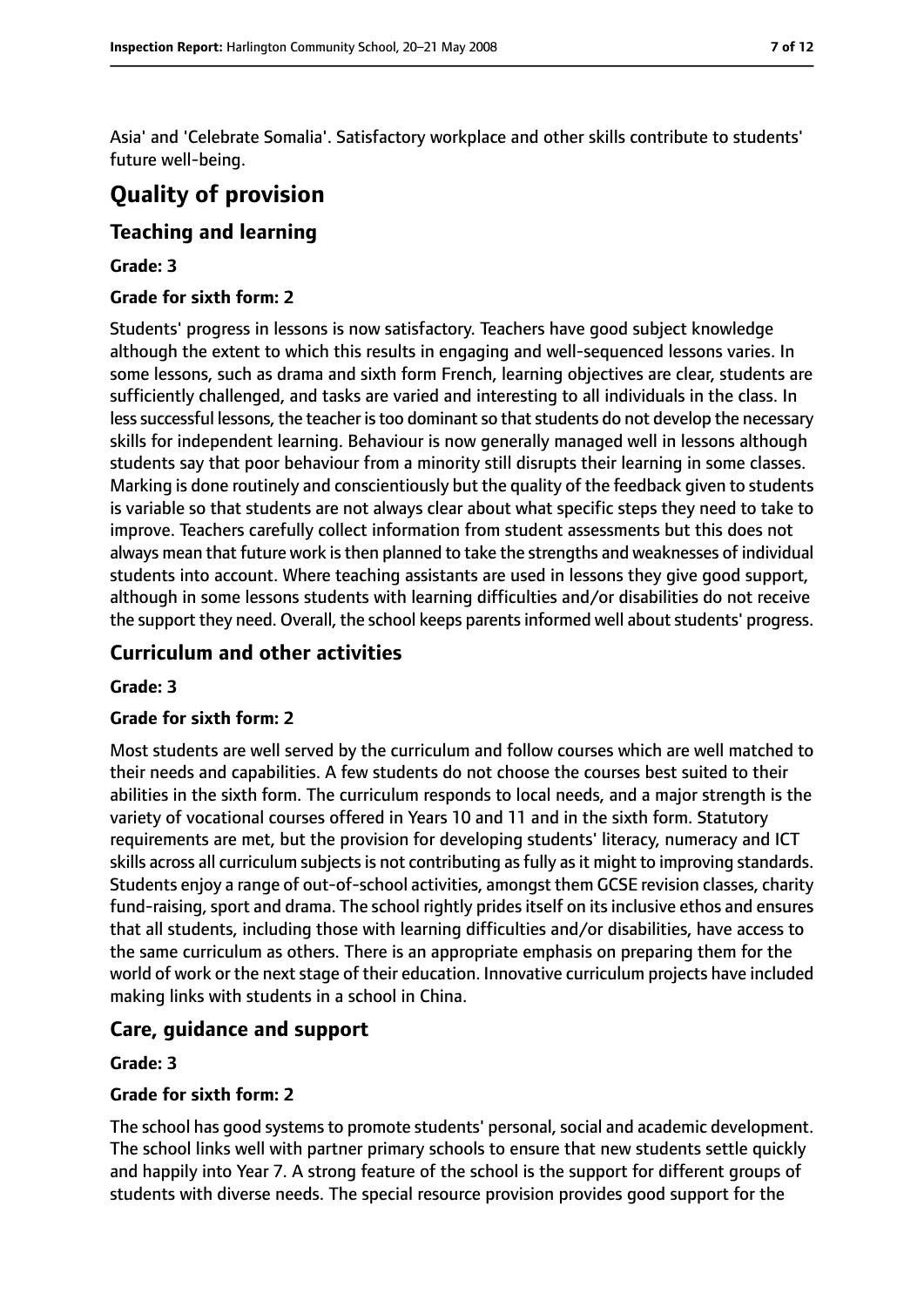Asia' and 'Celebrate Somalia'. Satisfactory workplace and other skills contribute to students' future well-being.

# **Quality of provision**

## **Teaching and learning**

#### **Grade: 3**

#### **Grade for sixth form: 2**

Students' progress in lessons is now satisfactory. Teachers have good subject knowledge although the extent to which this results in engaging and well-sequenced lessons varies. In some lessons, such as drama and sixth form French, learning objectives are clear, students are sufficiently challenged, and tasks are varied and interesting to all individuals in the class. In less successful lessons, the teacher is too dominant so that students do not develop the necessary skills for independent learning. Behaviour is now generally managed well in lessons although students say that poor behaviour from a minority still disrupts their learning in some classes. Marking is done routinely and conscientiously but the quality of the feedback given to students is variable so that students are not always clear about what specific steps they need to take to improve. Teachers carefully collect information from student assessments but this does not always mean that future work is then planned to take the strengths and weaknesses of individual students into account. Where teaching assistants are used in lessons they give good support, although in some lessons students with learning difficulties and/or disabilities do not receive the support they need. Overall, the school keeps parents informed well about students' progress.

## **Curriculum and other activities**

#### **Grade: 3**

#### **Grade for sixth form: 2**

Most students are well served by the curriculum and follow courses which are well matched to their needs and capabilities. A few students do not choose the courses best suited to their abilities in the sixth form. The curriculum responds to local needs, and a major strength is the variety of vocational courses offered in Years 10 and 11 and in the sixth form. Statutory requirements are met, but the provision for developing students' literacy, numeracy and ICT skills across all curriculum subjects is not contributing as fully as it might to improving standards. Students enjoy a range of out-of-school activities, amongst them GCSE revision classes, charity fund-raising, sport and drama. The school rightly prides itself on its inclusive ethos and ensures that all students, including those with learning difficulties and/or disabilities, have access to the same curriculum as others. There is an appropriate emphasis on preparing them for the world of work or the next stage of their education. Innovative curriculum projects have included making links with students in a school in China.

#### **Care, guidance and support**

#### **Grade: 3**

#### **Grade for sixth form: 2**

The school has good systems to promote students' personal, social and academic development. The school links well with partner primary schools to ensure that new students settle quickly and happily into Year 7. A strong feature of the school is the support for different groups of students with diverse needs. The special resource provision provides good support for the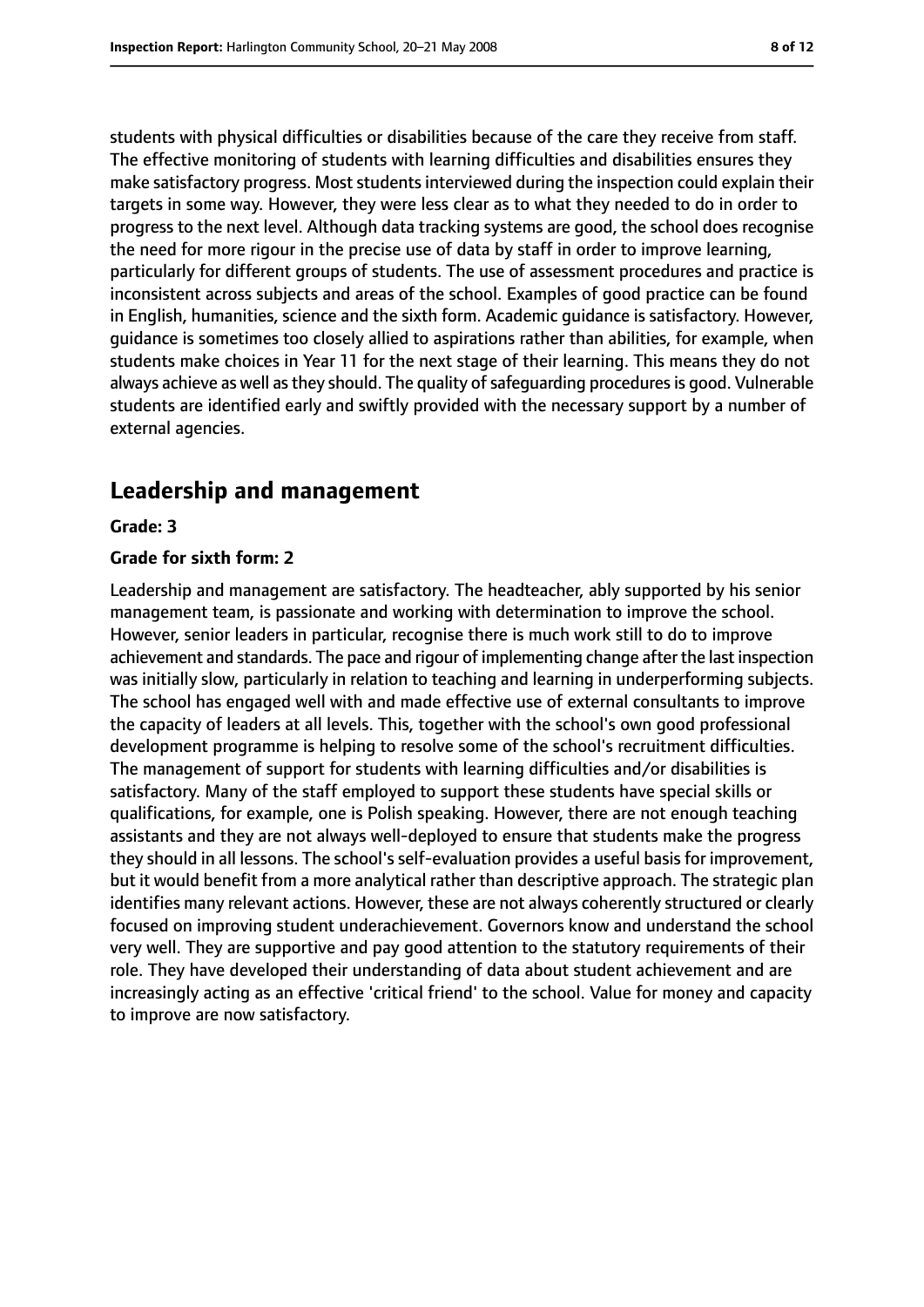students with physical difficulties or disabilities because of the care they receive from staff. The effective monitoring of students with learning difficulties and disabilities ensures they make satisfactory progress. Most students interviewed during the inspection could explain their targets in some way. However, they were less clear as to what they needed to do in order to progress to the next level. Although data tracking systems are good, the school does recognise the need for more rigour in the precise use of data by staff in order to improve learning, particularly for different groups of students. The use of assessment procedures and practice is inconsistent across subjects and areas of the school. Examples of good practice can be found in English, humanities, science and the sixth form. Academic guidance is satisfactory. However, guidance is sometimes too closely allied to aspirations rather than abilities, for example, when students make choices in Year 11 for the next stage of their learning. This means they do not always achieve as well as they should. The quality of safeguarding procedures is good. Vulnerable students are identified early and swiftly provided with the necessary support by a number of external agencies.

# **Leadership and management**

#### **Grade: 3**

#### **Grade for sixth form: 2**

Leadership and management are satisfactory. The headteacher, ably supported by his senior management team, is passionate and working with determination to improve the school. However, senior leaders in particular, recognise there is much work still to do to improve achievement and standards. The pace and rigour of implementing change after the last inspection was initially slow, particularly in relation to teaching and learning in underperforming subjects. The school has engaged well with and made effective use of external consultants to improve the capacity of leaders at all levels. This, together with the school's own good professional development programme is helping to resolve some of the school's recruitment difficulties. The management of support for students with learning difficulties and/or disabilities is satisfactory. Many of the staff employed to support these students have special skills or qualifications, for example, one is Polish speaking. However, there are not enough teaching assistants and they are not always well-deployed to ensure that students make the progress they should in all lessons. The school's self-evaluation provides a useful basis for improvement, but it would benefit from a more analytical rather than descriptive approach. The strategic plan identifies many relevant actions. However, these are not always coherently structured or clearly focused on improving student underachievement. Governors know and understand the school very well. They are supportive and pay good attention to the statutory requirements of their role. They have developed their understanding of data about student achievement and are increasingly acting as an effective 'critical friend' to the school. Value for money and capacity to improve are now satisfactory.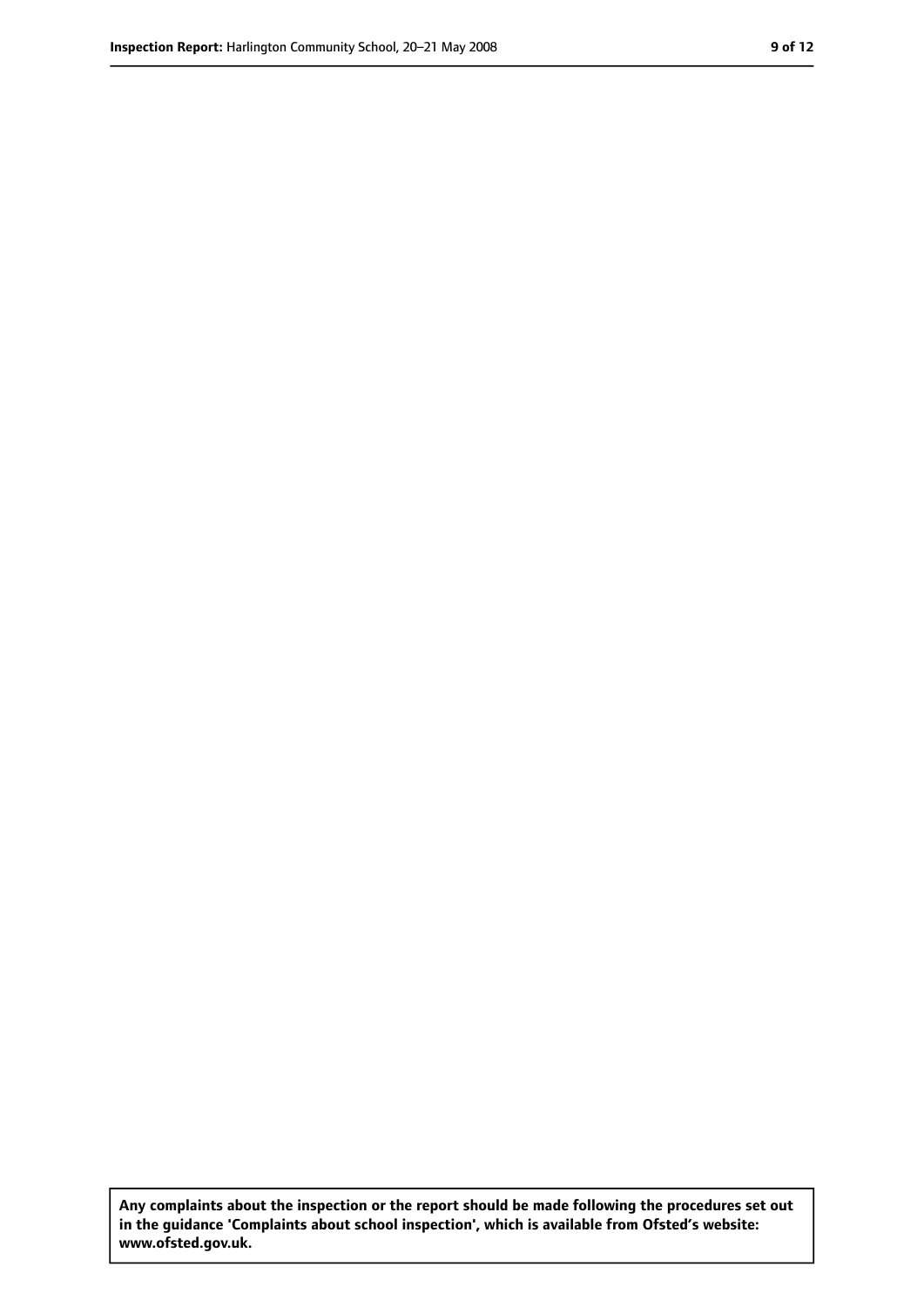**Any complaints about the inspection or the report should be made following the procedures set out in the guidance 'Complaints about school inspection', which is available from Ofsted's website: www.ofsted.gov.uk.**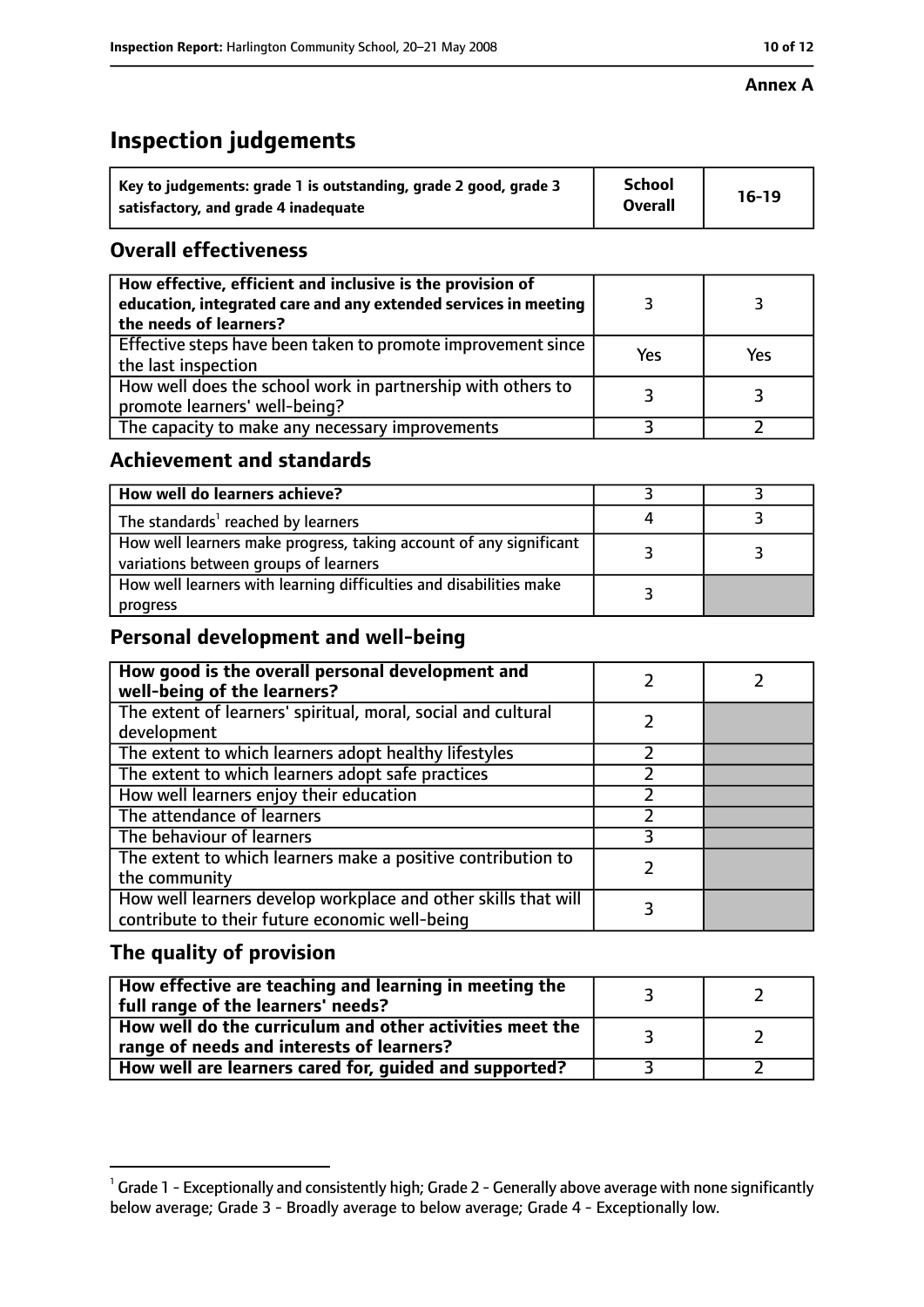#### **Annex A**

# **Inspection judgements**

| Key to judgements: grade 1 is outstanding, grade 2 good, grade 3 | <b>School</b>  | $16-19$ |
|------------------------------------------------------------------|----------------|---------|
| satisfactory, and grade 4 inadequate                             | <b>Overall</b> |         |

## **Overall effectiveness**

| How effective, efficient and inclusive is the provision of<br>education, integrated care and any extended services in meeting<br>the needs of learners? |     |     |
|---------------------------------------------------------------------------------------------------------------------------------------------------------|-----|-----|
| Effective steps have been taken to promote improvement since<br>the last inspection                                                                     | Yes | Yes |
| How well does the school work in partnership with others to<br>promote learners' well-being?                                                            |     |     |
| The capacity to make any necessary improvements                                                                                                         |     |     |

## **Achievement and standards**

| How well do learners achieve?                                                                               |  |
|-------------------------------------------------------------------------------------------------------------|--|
| The standards <sup>1</sup> reached by learners                                                              |  |
| How well learners make progress, taking account of any significant<br>variations between groups of learners |  |
| How well learners with learning difficulties and disabilities make<br>progress                              |  |

# **Personal development and well-being**

| How good is the overall personal development and<br>well-being of the learners?                                  |  |
|------------------------------------------------------------------------------------------------------------------|--|
| The extent of learners' spiritual, moral, social and cultural<br>development                                     |  |
| The extent to which learners adopt healthy lifestyles                                                            |  |
| The extent to which learners adopt safe practices                                                                |  |
| How well learners enjoy their education                                                                          |  |
| The attendance of learners                                                                                       |  |
| The behaviour of learners                                                                                        |  |
| The extent to which learners make a positive contribution to<br>the community                                    |  |
| How well learners develop workplace and other skills that will<br>contribute to their future economic well-being |  |

# **The quality of provision**

| How effective are teaching and learning in meeting the<br>full range of the learners' needs?          |  |
|-------------------------------------------------------------------------------------------------------|--|
| How well do the curriculum and other activities meet the<br>range of needs and interests of learners? |  |
| How well are learners cared for, guided and supported?                                                |  |

 $^1$  Grade 1 - Exceptionally and consistently high; Grade 2 - Generally above average with none significantly below average; Grade 3 - Broadly average to below average; Grade 4 - Exceptionally low.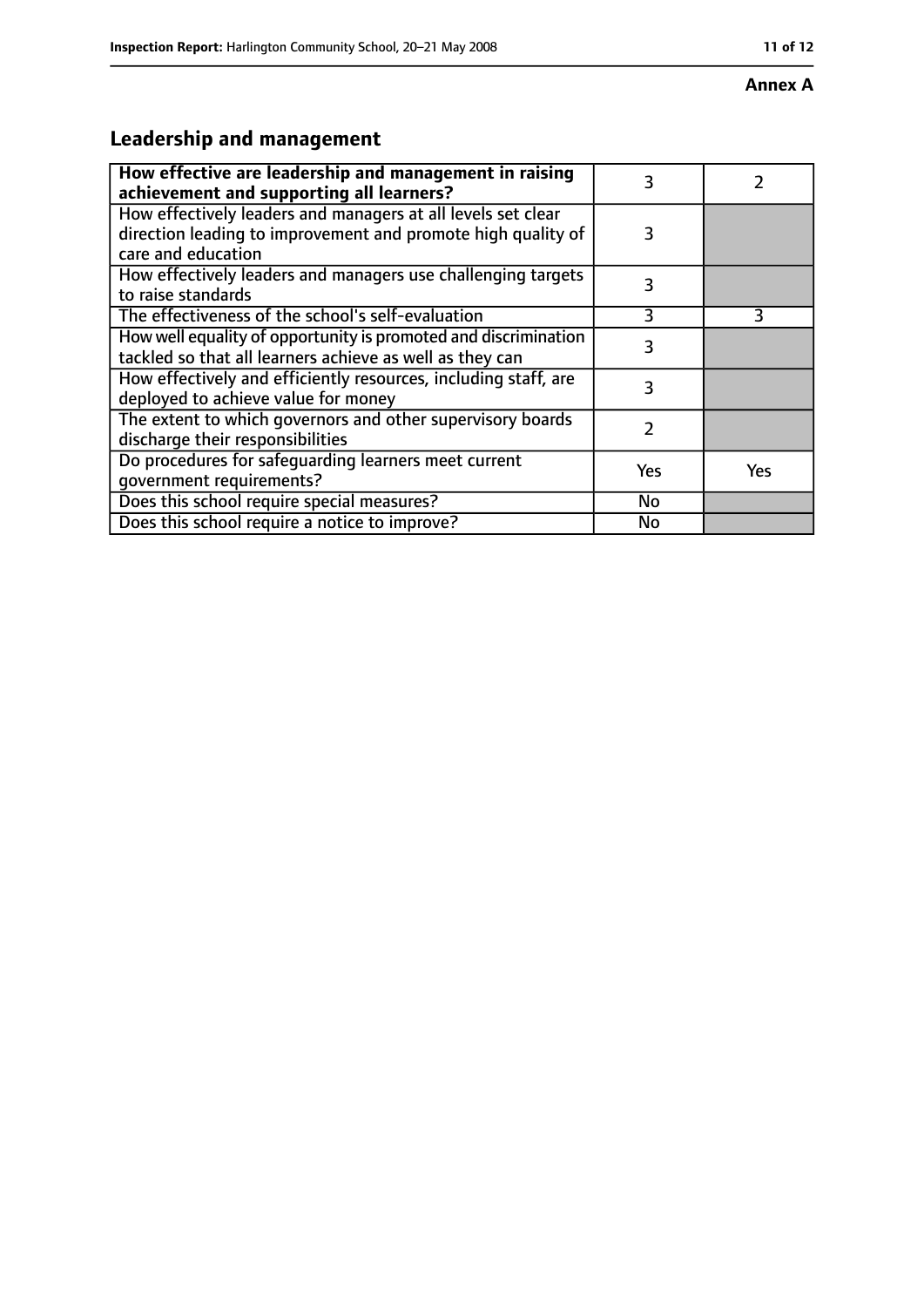#### **Annex A**

# **Leadership and management**

| How effective are leadership and management in raising<br>achievement and supporting all learners?                                                 | 3         |     |
|----------------------------------------------------------------------------------------------------------------------------------------------------|-----------|-----|
| How effectively leaders and managers at all levels set clear<br>direction leading to improvement and promote high quality of<br>care and education | 3         |     |
| How effectively leaders and managers use challenging targets<br>to raise standards                                                                 | 3         |     |
| The effectiveness of the school's self-evaluation                                                                                                  | 3         | 3   |
| How well equality of opportunity is promoted and discrimination<br>tackled so that all learners achieve as well as they can                        | 3         |     |
| How effectively and efficiently resources, including staff, are<br>deployed to achieve value for money                                             | 3         |     |
| The extent to which governors and other supervisory boards<br>discharge their responsibilities                                                     | 2         |     |
| Do procedures for safeguarding learners meet current<br>qovernment requirements?                                                                   | Yes       | Yes |
| Does this school require special measures?                                                                                                         | No        |     |
| Does this school require a notice to improve?                                                                                                      | <b>No</b> |     |